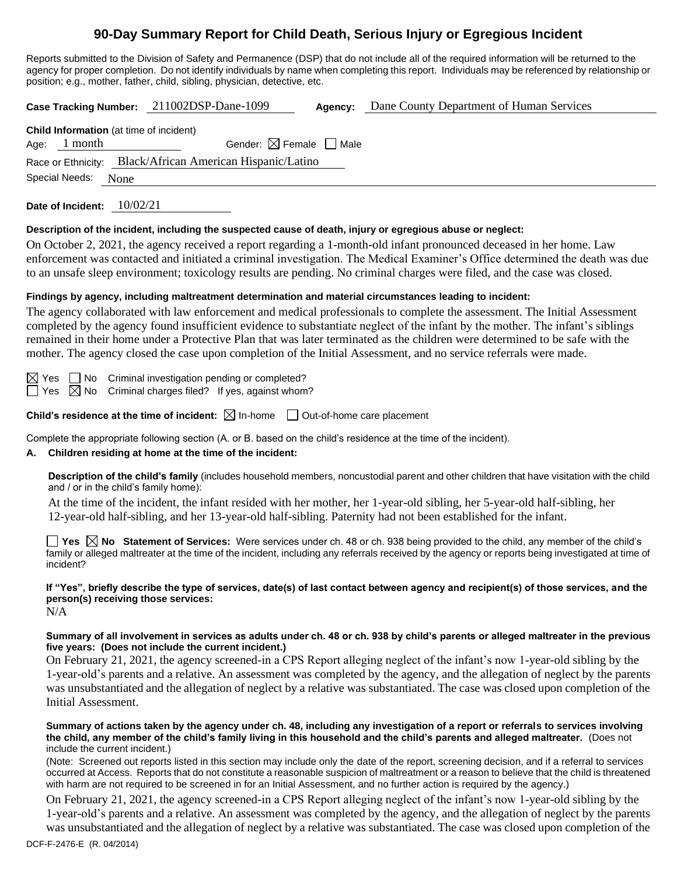# **90-Day Summary Report for Child Death, Serious Injury or Egregious Incident**

Reports submitted to the Division of Safety and Permanence (DSP) that do not include all of the required information will be returned to the agency for proper completion. Do not identify individuals by name when completing this report. Individuals may be referenced by relationship or position; e.g., mother, father, child, sibling, physician, detective, etc.

| Dane County Department of Human Services<br>Case Tracking Number: 211002DSP-Dane-1099<br>Agency:                                                                                                                                                                                                                                                                                                                                                                                                                                                                                                                                                                                                                                      |  |  |  |  |  |
|---------------------------------------------------------------------------------------------------------------------------------------------------------------------------------------------------------------------------------------------------------------------------------------------------------------------------------------------------------------------------------------------------------------------------------------------------------------------------------------------------------------------------------------------------------------------------------------------------------------------------------------------------------------------------------------------------------------------------------------|--|--|--|--|--|
| Child Information (at time of incident)<br>Age: $1$ month<br>Gender: $\boxtimes$ Female $\Box$ Male<br>Black/African American Hispanic/Latino<br>Race or Ethnicity:<br>Special Needs:<br>None                                                                                                                                                                                                                                                                                                                                                                                                                                                                                                                                         |  |  |  |  |  |
| Date of Incident: 10/02/21                                                                                                                                                                                                                                                                                                                                                                                                                                                                                                                                                                                                                                                                                                            |  |  |  |  |  |
| Description of the incident, including the suspected cause of death, injury or egregious abuse or neglect:<br>On October 2, 2021, the agency received a report regarding a 1-month-old infant pronounced deceased in her home. Law<br>enforcement was contacted and initiated a criminal investigation. The Medical Examiner's Office determined the death was due<br>to an unsafe sleep environment; toxicology results are pending. No criminal charges were filed, and the case was closed.                                                                                                                                                                                                                                        |  |  |  |  |  |
| Findings by agency, including maltreatment determination and material circumstances leading to incident:<br>The agency collaborated with law enforcement and medical professionals to complete the assessment. The Initial Assessment<br>completed by the agency found insufficient evidence to substantiate neglect of the infant by the mother. The infant's siblings<br>remained in their home under a Protective Plan that was later terminated as the children were determined to be safe with the<br>mother. The agency closed the case upon completion of the Initial Assessment, and no service referrals were made.                                                                                                          |  |  |  |  |  |
| $\boxtimes$ Yes $\;$ [<br>$\Box$ No Criminal investigation pending or completed?<br>$\Box$ Yes $\boxtimes$ No Criminal charges filed? If yes, against whom?                                                                                                                                                                                                                                                                                                                                                                                                                                                                                                                                                                           |  |  |  |  |  |
| <b>Child's residence at the time of incident:</b> $\boxtimes$ In-home $\Box$ Out-of-home care placement                                                                                                                                                                                                                                                                                                                                                                                                                                                                                                                                                                                                                               |  |  |  |  |  |
| Complete the appropriate following section (A. or B. based on the child's residence at the time of the incident).<br>Children residing at home at the time of the incident:<br>А.                                                                                                                                                                                                                                                                                                                                                                                                                                                                                                                                                     |  |  |  |  |  |
| Description of the child's family (includes household members, noncustodial parent and other children that have visitation with the child<br>and / or in the child's family home):<br>At the time of the incident, the infant resided with her mother, her 1-year-old sibling, her 5-year-old half-sibling, her<br>12-year-old half-sibling, and her 13-year-old half-sibling. Paternity had not been established for the infant.<br><b>The Statement of Services:</b> Were services under ch. 48 or ch. 938 being provided to the child, any member of the child's<br>family or alleged maltreater at the time of the incident, including any referrals received by the agency or reports being investigated at time of<br>incident? |  |  |  |  |  |
| lf "Yos" briefly describe the tyne of services, date(s) of last contact between agency and recipient(s) of those services, and the                                                                                                                                                                                                                                                                                                                                                                                                                                                                                                                                                                                                    |  |  |  |  |  |

### **If "Yes", briefly describe the type of services, date(s) of last contact between agency and recipient(s) of those services, and the person(s) receiving those services:**

N/A

#### **Summary of all involvement in services as adults under ch. 48 or ch. 938 by child's parents or alleged maltreater in the previous five years: (Does not include the current incident.)**

On February 21, 2021, the agency screened-in a CPS Report alleging neglect of the infant's now 1-year-old sibling by the 1-year-old's parents and a relative. An assessment was completed by the agency, and the allegation of neglect by the parents was unsubstantiated and the allegation of neglect by a relative was substantiated. The case was closed upon completion of the Initial Assessment.

#### **Summary of actions taken by the agency under ch. 48, including any investigation of a report or referrals to services involving the child, any member of the child's family living in this household and the child's parents and alleged maltreater.** (Does not include the current incident.)

(Note: Screened out reports listed in this section may include only the date of the report, screening decision, and if a referral to services occurred at Access. Reports that do not constitute a reasonable suspicion of maltreatment or a reason to believe that the child is threatened with harm are not required to be screened in for an Initial Assessment, and no further action is required by the agency.)

On February 21, 2021, the agency screened-in a CPS Report alleging neglect of the infant's now 1-year-old sibling by the 1-year-old's parents and a relative. An assessment was completed by the agency, and the allegation of neglect by the parents was unsubstantiated and the allegation of neglect by a relative was substantiated. The case was closed upon completion of the